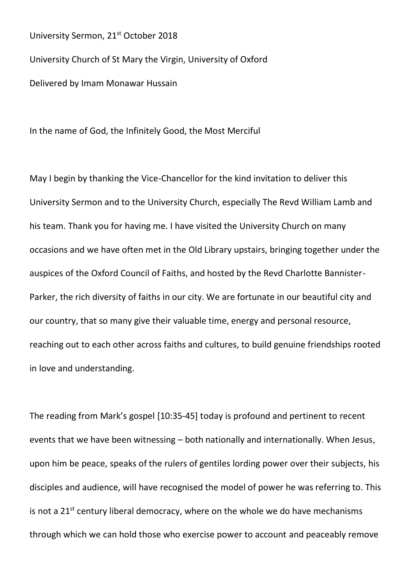University Sermon, 21<sup>st</sup> October 2018 University Church of St Mary the Virgin, University of Oxford Delivered by Imam Monawar Hussain

In the name of God, the Infinitely Good, the Most Merciful

May I begin by thanking the Vice-Chancellor for the kind invitation to deliver this University Sermon and to the University Church, especially The Revd William Lamb and his team. Thank you for having me. I have visited the University Church on many occasions and we have often met in the Old Library upstairs, bringing together under the auspices of the Oxford Council of Faiths, and hosted by the Revd Charlotte Bannister-Parker, the rich diversity of faiths in our city. We are fortunate in our beautiful city and our country, that so many give their valuable time, energy and personal resource, reaching out to each other across faiths and cultures, to build genuine friendships rooted in love and understanding.

The reading from Mark's gospel [10:35-45] today is profound and pertinent to recent events that we have been witnessing – both nationally and internationally. When Jesus, upon him be peace, speaks of the rulers of gentiles lording power over their subjects, his disciples and audience, will have recognised the model of power he was referring to. This is not a  $21^{st}$  century liberal democracy, where on the whole we do have mechanisms through which we can hold those who exercise power to account and peaceably remove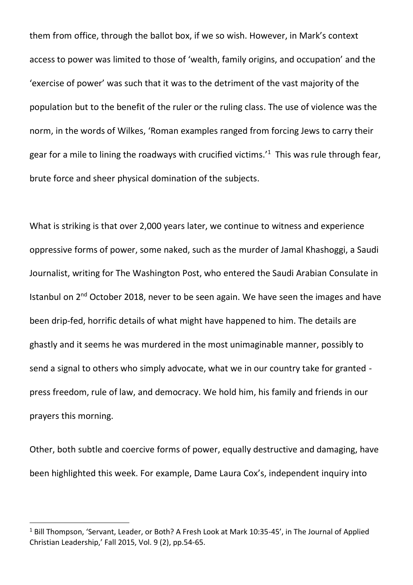them from office, through the ballot box, if we so wish. However, in Mark's context access to power was limited to those of 'wealth, family origins, and occupation' and the 'exercise of power' was such that it was to the detriment of the vast majority of the population but to the benefit of the ruler or the ruling class. The use of violence was the norm, in the words of Wilkes, 'Roman examples ranged from forcing Jews to carry their gear for a mile to lining the roadways with crucified victims.<sup> $1$ </sup> This was rule through fear, brute force and sheer physical domination of the subjects.

What is striking is that over 2,000 years later, we continue to witness and experience oppressive forms of power, some naked, such as the murder of Jamal Khashoggi, a Saudi Journalist, writing for The Washington Post, who entered the Saudi Arabian Consulate in Istanbul on  $2^{nd}$  October 2018, never to be seen again. We have seen the images and have been drip-fed, horrific details of what might have happened to him. The details are ghastly and it seems he was murdered in the most unimaginable manner, possibly to send a signal to others who simply advocate, what we in our country take for granted press freedom, rule of law, and democracy. We hold him, his family and friends in our prayers this morning.

Other, both subtle and coercive forms of power, equally destructive and damaging, have been highlighted this week. For example, Dame Laura Cox's, independent inquiry into

 $\overline{a}$ 

<sup>&</sup>lt;sup>1</sup> Bill Thompson, 'Servant, Leader, or Both? A Fresh Look at Mark 10:35-45', in The Journal of Applied Christian Leadership,' Fall 2015, Vol. 9 (2), pp.54-65.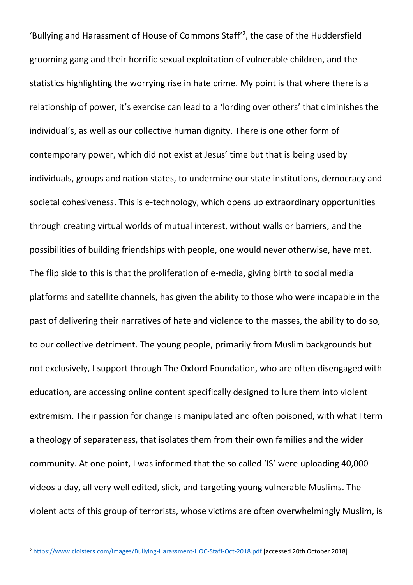'Bullying and Harassment of House of Commons Staff<sup>'2</sup>, the case of the Huddersfield grooming gang and their horrific sexual exploitation of vulnerable children, and the statistics highlighting the worrying rise in hate crime. My point is that where there is a relationship of power, it's exercise can lead to a 'lording over others' that diminishes the individual's, as well as our collective human dignity. There is one other form of contemporary power, which did not exist at Jesus' time but that is being used by individuals, groups and nation states, to undermine our state institutions, democracy and societal cohesiveness. This is e-technology, which opens up extraordinary opportunities through creating virtual worlds of mutual interest, without walls or barriers, and the possibilities of building friendships with people, one would never otherwise, have met. The flip side to this is that the proliferation of e-media, giving birth to social media platforms and satellite channels, has given the ability to those who were incapable in the past of delivering their narratives of hate and violence to the masses, the ability to do so, to our collective detriment. The young people, primarily from Muslim backgrounds but not exclusively, I support through The Oxford Foundation, who are often disengaged with education, are accessing online content specifically designed to lure them into violent extremism. Their passion for change is manipulated and often poisoned, with what I term a theology of separateness, that isolates them from their own families and the wider community. At one point, I was informed that the so called 'IS' were uploading 40,000 videos a day, all very well edited, slick, and targeting young vulnerable Muslims. The violent acts of this group of terrorists, whose victims are often overwhelmingly Muslim, is

 $\overline{a}$ 

<sup>2</sup> <https://www.cloisters.com/images/Bullying-Harassment-HOC-Staff-Oct-2018.pdf> [accessed 20th October 2018]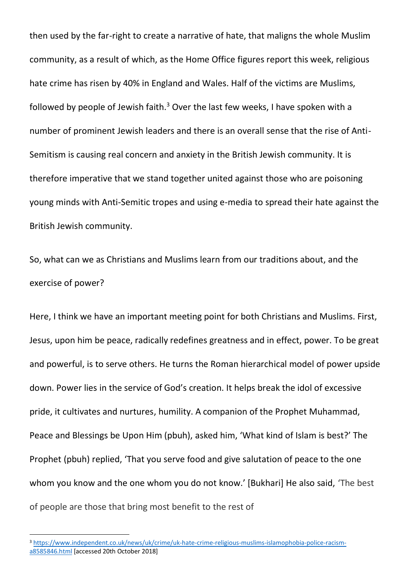then used by the far-right to create a narrative of hate, that maligns the whole Muslim community, as a result of which, as the Home Office figures report this week, religious hate crime has risen by 40% in England and Wales. Half of the victims are Muslims, followed by people of Jewish faith.<sup>3</sup> Over the last few weeks, I have spoken with a number of prominent Jewish leaders and there is an overall sense that the rise of Anti-Semitism is causing real concern and anxiety in the British Jewish community. It is therefore imperative that we stand together united against those who are poisoning young minds with Anti-Semitic tropes and using e-media to spread their hate against the British Jewish community.

So, what can we as Christians and Muslims learn from our traditions about, and the exercise of power?

Here, I think we have an important meeting point for both Christians and Muslims. First, Jesus, upon him be peace, radically redefines greatness and in effect, power. To be great and powerful, is to serve others. He turns the Roman hierarchical model of power upside down. Power lies in the service of God's creation. It helps break the idol of excessive pride, it cultivates and nurtures, humility. A companion of the Prophet Muhammad, Peace and Blessings be Upon Him (pbuh), asked him, 'What kind of Islam is best?' The Prophet (pbuh) replied, 'That you serve food and give salutation of peace to the one whom you know and the one whom you do not know.' [Bukhari] He also said, 'The best of people are those that bring most benefit to the rest of

l

<sup>3</sup> [https://www.independent.co.uk/news/uk/crime/uk-hate-crime-religious-muslims-islamophobia-police-racism](https://www.independent.co.uk/news/uk/crime/uk-hate-crime-religious-muslims-islamophobia-police-racism-a8585846.html)[a8585846.html](https://www.independent.co.uk/news/uk/crime/uk-hate-crime-religious-muslims-islamophobia-police-racism-a8585846.html) [accessed 20th October 2018]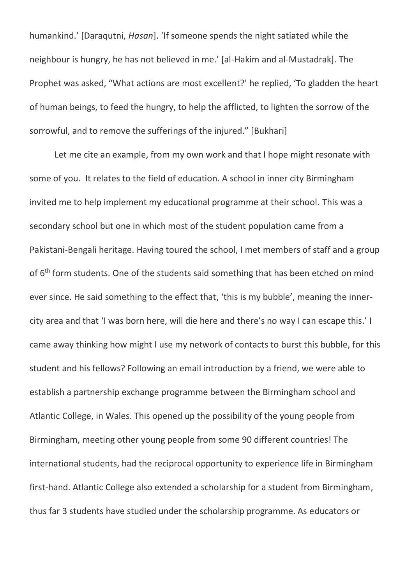humankind.' [Daraqutni, *Hasan*]. 'If someone spends the night satiated while the neighbour is hungry, he has not believed in me.' [al-Hakim and al-Mustadrak]. The Prophet was asked, "What actions are most excellent?' he replied, 'To gladden the heart of human beings, to feed the hungry, to help the afflicted, to lighten the sorrow of the sorrowful, and to remove the sufferings of the injured." [Bukhari]

Let me cite an example, from my own work and that I hope might resonate with some of you. It relates to the field of education. A school in inner city Birmingham invited me to help implement my educational programme at their school. This was a secondary school but one in which most of the student population came from a Pakistani-Bengali heritage. Having toured the school, I met members of staff and a group of 6<sup>th</sup> form students. One of the students said something that has been etched on mind ever since. He said something to the effect that, 'this is my bubble', meaning the innercity area and that 'I was born here, will die here and there's no way I can escape this.' I came away thinking how might I use my network of contacts to burst this bubble, for this student and his fellows? Following an email introduction by a friend, we were able to establish a partnership exchange programme between the Birmingham school and Atlantic College, in Wales. This opened up the possibility of the young people from Birmingham, meeting other young people from some 90 different countries! The international students, had the reciprocal opportunity to experience life in Birmingham first-hand. Atlantic College also extended a scholarship for a student from Birmingham, thus far 3 students have studied under the scholarship programme. As educators or